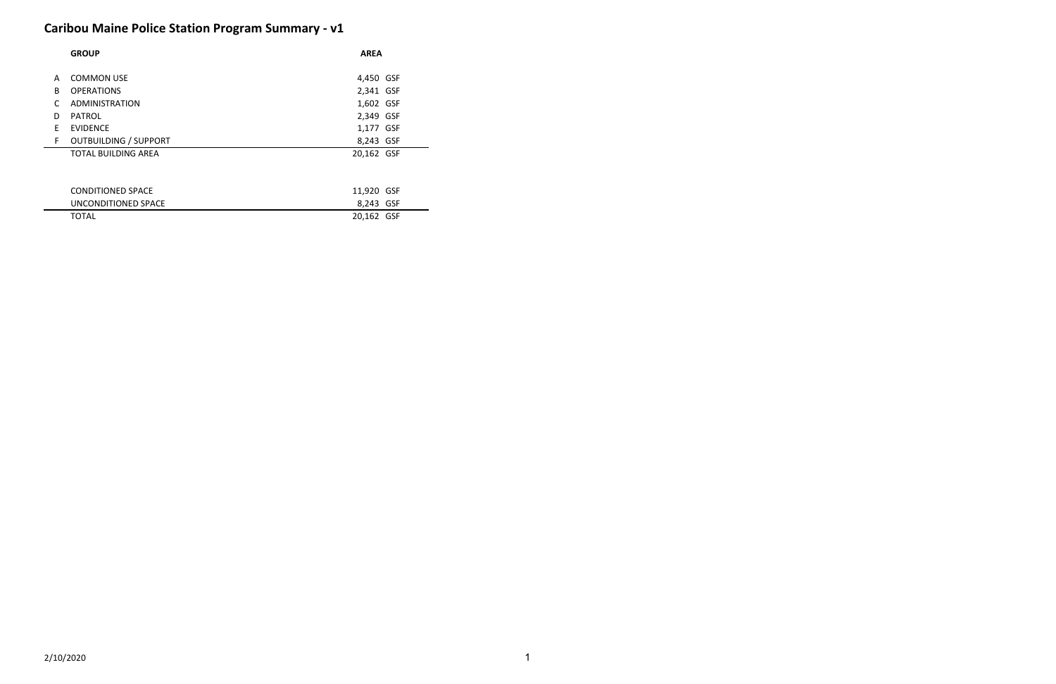# **Caribou Maine Police Station Program Summary - v1**

|    | <b>GROUP</b>                 | <b>AREA</b> |
|----|------------------------------|-------------|
|    |                              |             |
| A  | <b>COMMON USE</b>            | 4,450 GSF   |
| B  | <b>OPERATIONS</b>            | 2,341 GSF   |
|    | ADMINISTRATION               | 1,602 GSF   |
| D  | <b>PATROL</b>                | 2,349 GSF   |
| F  | <b>EVIDENCE</b>              | 1,177 GSF   |
| F. | <b>OUTBUILDING / SUPPORT</b> | 8,243 GSF   |
|    | <b>TOTAL BUILDING AREA</b>   | 20,162 GSF  |
|    |                              |             |

| CONDITIONED SPACE   | 11,920 GSF |
|---------------------|------------|
| UNCONDITIONED SPACE | 8,243 GSF  |
| <b>TOTAL</b>        | 20,162 GSF |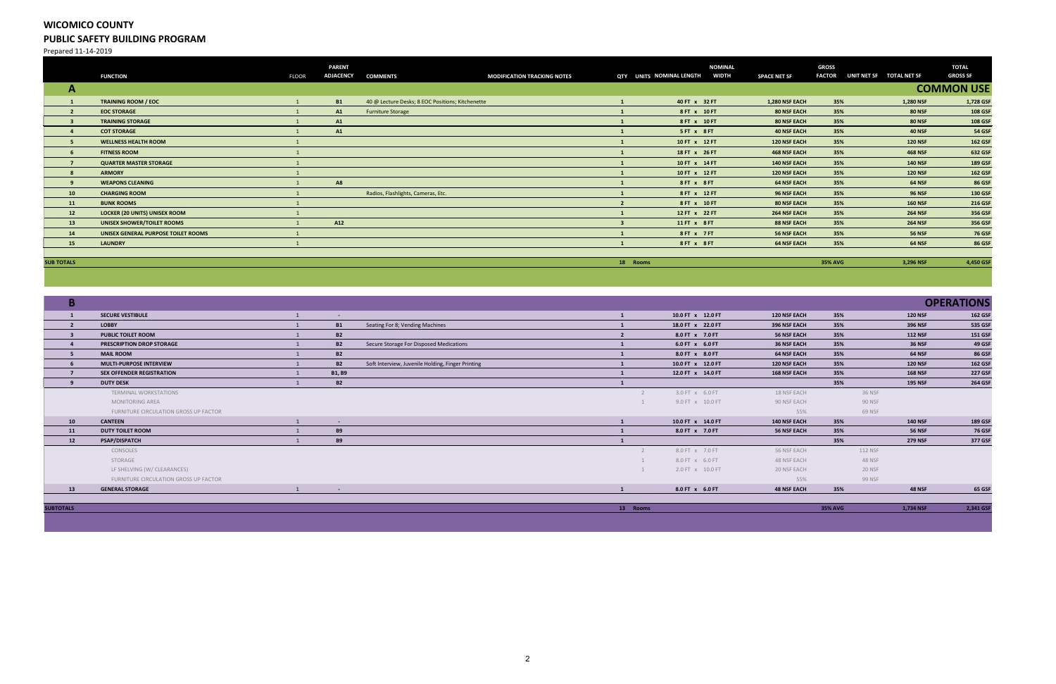## **WICOMICO COUNTY PUBLIC SAFETY BUILDING PROGRAM**

Prepared 11-14-2019

|                   | <b>FUNCTION</b>                      | <b>FLOOR</b> | <b>PARENT</b><br><b>ADJACENCY</b> | <b>COMMENTS</b>                                  | <b>MODIFICATION TRACKING NOTES</b> | QTY UNITS NOMINAL LENGTH |               | <b>NOMINAL</b><br><b>WIDTH</b> | <b>SPACE NET SF</b> | <b>GROSS</b><br><b>FACTOR</b> | UNIT NET SF TOTAL NET SF |                | <b>TOTAL</b><br><b>GROSS SF</b> |
|-------------------|--------------------------------------|--------------|-----------------------------------|--------------------------------------------------|------------------------------------|--------------------------|---------------|--------------------------------|---------------------|-------------------------------|--------------------------|----------------|---------------------------------|
| $\mathbf{A}$      |                                      |              |                                   |                                                  |                                    |                          |               |                                |                     |                               |                          |                | <b>COMMON USE</b>               |
|                   | <b>TRAINING ROOM / EOC</b>           |              | <b>B1</b>                         | 40 @ Lecture Desks; 8 EOC Positions; Kitchenette |                                    |                          | 40 FT x 32 FT |                                | 1,280 NSF EACH      | 35%                           |                          | 1,280 NSF      | 1,728 GSF                       |
|                   | <b>EOC STORAGE</b>                   |              | A1                                | Furniture Storage                                |                                    |                          | 8 FT x 10 FT  |                                | <b>80 NSF EACH</b>  | 35%                           |                          | <b>80 NSF</b>  | <b>108 GSF</b>                  |
|                   | <b>TRAINING STORAGE</b>              |              | A1                                |                                                  |                                    |                          | 8 FT x 10 FT  |                                | <b>80 NSF EACH</b>  | 35%                           |                          | <b>80 NSF</b>  | <b>108 GSF</b>                  |
|                   | <b>COT STORAGE</b>                   |              | A1                                |                                                  |                                    |                          | 5FT x 8FT     |                                | <b>40 NSF EACH</b>  | 35%                           |                          | <b>40 NSF</b>  | <b>54 GSF</b>                   |
|                   | <b>WELLNESS HEALTH ROOM</b>          |              |                                   |                                                  |                                    |                          | 10 FT x 12 FT |                                | <b>120 NSF EACH</b> | 35%                           |                          | <b>120 NSF</b> | <b>162 GSF</b>                  |
| 6                 | <b>FITNESS ROOM</b>                  |              |                                   |                                                  |                                    |                          | 18 FT x 26 FT |                                | <b>468 NSF EACH</b> | 35%                           |                          | <b>468 NSF</b> | 632 GSF                         |
| $\overline{7}$    | <b>QUARTER MASTER STORAGE</b>        |              |                                   |                                                  |                                    |                          | 10 FT x 14 FT |                                | <b>140 NSF EACH</b> | 35%                           |                          | <b>140 NSF</b> | 189 GSF                         |
|                   | <b>ARMORY</b>                        |              |                                   |                                                  |                                    |                          | 10 FT x 12 FT |                                | <b>120 NSF EACH</b> | 35%                           |                          | <b>120 NSF</b> | <b>162 GSF</b>                  |
| $\mathbf{q}$      | <b>WEAPONS CLEANING</b>              |              | <b>A8</b>                         |                                                  |                                    |                          | 8FT x 8FT     |                                | <b>64 NSF EACH</b>  | 35%                           |                          | <b>64 NSF</b>  | <b>86 GSF</b>                   |
| 10                | <b>CHARGING ROOM</b>                 |              |                                   | Radios, Flashlights, Cameras, Etc.               |                                    |                          | 8 FT x 12 FT  |                                | <b>96 NSF EACH</b>  | 35%                           |                          | <b>96 NSF</b>  | <b>130 GSF</b>                  |
| 11                | <b>BUNK ROOMS</b>                    |              |                                   |                                                  |                                    |                          | 8 FT x 10 FT  |                                | <b>80 NSF EACH</b>  | 35%                           |                          | <b>160 NSF</b> | <b>216 GSF</b>                  |
| 12                | <b>LOCKER (20 UNITS) UNISEX ROOM</b> |              |                                   |                                                  |                                    |                          | 12 FT x 22 FT |                                | 264 NSF EACH        | 35%                           |                          | <b>264 NSF</b> | 356 GSF                         |
| 13                | <b>UNISEX SHOWER/TOILET ROOMS</b>    |              | A12                               |                                                  |                                    |                          | 11 FT x 8 FT  |                                | <b>88 NSF EACH</b>  | 35%                           |                          | <b>264 NSF</b> | 356 GSF                         |
| 14                | UNISEX GENERAL PURPOSE TOILET ROOMS  |              |                                   |                                                  |                                    |                          | 8FT x 7FT     |                                | <b>56 NSF EACH</b>  | 35%                           |                          | <b>56 NSF</b>  | <b>76 GSF</b>                   |
| 15                | <b>LAUNDRY</b>                       |              |                                   |                                                  |                                    |                          | 8FT x 8FT     |                                | <b>64 NSF EACH</b>  | 35%                           |                          | 64 NSF         | <b>86 GSF</b>                   |
|                   |                                      |              |                                   |                                                  |                                    |                          |               |                                |                     |                               |                          |                |                                 |
| <b>SUB TOTALS</b> |                                      |              |                                   |                                                  |                                    | 18 Rooms                 |               |                                |                     | <b>35% AVG</b>                |                          | 3,296 NSF      | 4,450 GSF                       |

| B                |                                       |               |                                                   |          |                   |                     |                |                | <b>OPERATIONS</b> |
|------------------|---------------------------------------|---------------|---------------------------------------------------|----------|-------------------|---------------------|----------------|----------------|-------------------|
|                  | <b>SECURE VESTIBULE</b>               | $\sim$        |                                                   |          | 10.0 FT x 12.0 FT | <b>120 NSF EACH</b> | 35%            | <b>120 NSF</b> | <b>162 GSF</b>    |
|                  | <b>LOBBY</b>                          | <b>B1</b>     | Seating For 8; Vending Machines                   |          | 18.0 FT x 22.0 FT | 396 NSF EACH        | 35%            | 396 NSF        | 535 GSF           |
|                  | <b>PUBLIC TOILET ROOM</b>             | <b>B2</b>     |                                                   |          | 8.0 FT x 7.0 FT   | <b>56 NSF EACH</b>  | 35%            | <b>112 NSF</b> | <b>151 GSF</b>    |
|                  | PRESCRIPTION DROP STORAGE             | <b>B2</b>     | Secure Storage For Disposed Medications           |          | 6.0 FT x 6.0 FT   | <b>36 NSF EACH</b>  | 35%            | <b>36 NSF</b>  | 49 GSF            |
|                  | <b>MAIL ROOM</b>                      | <b>B2</b>     |                                                   |          | 8.0 FT x 8.0 FT   | <b>64 NSF EACH</b>  | 35%            | 64 NSF         | <b>86 GSF</b>     |
|                  | <b>MULTI-PURPOSE INTERVIEW</b>        | <b>B2</b>     | Soft Interview, Juvenile Holding, Finger Printing |          | 10.0 FT x 12.0 FT | 120 NSF EACH        | 35%            | <b>120 NSF</b> | <b>162 GSF</b>    |
|                  | <b>SEX OFFENDER REGISTRATION</b>      | <b>B1, B9</b> |                                                   |          | 12.0 FT x 14.0 FT | <b>168 NSF EACH</b> | 35%            | <b>168 NSF</b> | <b>227 GSF</b>    |
|                  | <b>DUTY DESK</b>                      | <b>B2</b>     |                                                   |          |                   |                     | 35%            | <b>195 NSF</b> | 264 GSF           |
|                  | TERMINAL WORKSTATIONS                 |               |                                                   |          | 3.0 FT x 6.0 FT   | 18 NSF EACH         | 36 NSF         |                |                   |
|                  | <b>MONITORING AREA</b>                |               |                                                   |          | 9.0 FT x 10.0 FT  | 90 NSF EACH         | 90 NSF         |                |                   |
|                  | FURNITURE CIRCULATION GROSS UP FACTOR |               |                                                   |          |                   | 55%                 | 69 NSF         |                |                   |
| 10               | <b>CANTEEN</b>                        | $\sim$        |                                                   |          | 10.0 FT x 14.0 FT | 140 NSF EACH        | 35%            | <b>140 NSF</b> | 189 GSF           |
| 11               | <b>DUTY TOILET ROOM</b>               | <b>B9</b>     |                                                   |          | 8.0 FT x 7.0 FT   | <b>56 NSF EACH</b>  | 35%            | <b>56 NSF</b>  | <b>76 GSF</b>     |
| 12               | <b>PSAP/DISPATCH</b>                  | <b>B9</b>     |                                                   |          |                   |                     | 35%            | <b>279 NSF</b> | 377 GSF           |
|                  | CONSOLES                              |               |                                                   |          | 8.0 FT x 7.0 FT   | 56 NSF EACH         | 112 NSF        |                |                   |
|                  | STORAGE                               |               |                                                   |          | 8.0 FT x 6.0 FT   | 48 NSF EACH         | <b>48 NSF</b>  |                |                   |
|                  | LF SHELVING (W/ CLEARANCES)           |               |                                                   |          | 2.0 FT x 10.0 FT  | 20 NSF EACH         | <b>20 NSF</b>  |                |                   |
|                  | FURNITURE CIRCULATION GROSS UP FACTOR |               |                                                   |          |                   | 55%                 | 99 NSF         |                |                   |
| 13               | <b>GENERAL STORAGE</b>                | $\sim$        |                                                   |          | 8.0 FT x 6.0 FT   | <b>48 NSF EACH</b>  | 35%            | <b>48 NSF</b>  | 65 GSF            |
| <b>SUBTOTALS</b> |                                       |               |                                                   | 13 Rooms |                   |                     | <b>35% AVG</b> | 1,734 NSF      | 2,341 GSF         |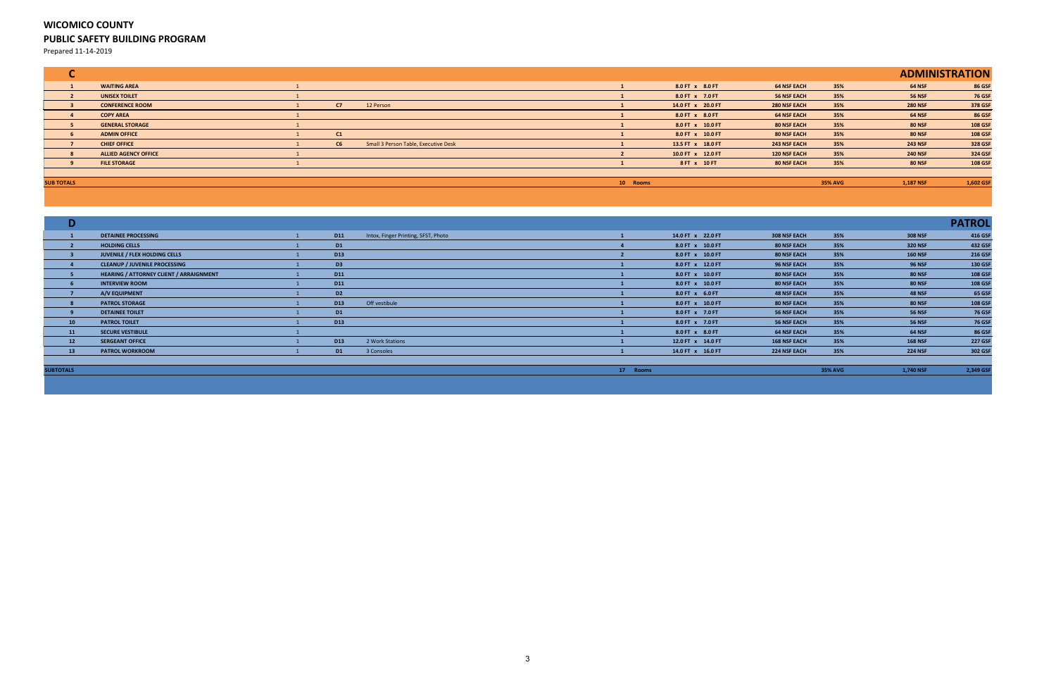## **WICOMICO COUNTY PUBLIC SAFETY BUILDING PROGRAM**

Prepared 11-14-2019

|                   |                             |    |                                      |          |                   |                     |                |                | <b>ADMINISTRATION</b> |
|-------------------|-----------------------------|----|--------------------------------------|----------|-------------------|---------------------|----------------|----------------|-----------------------|
|                   | <b>WAITING AREA</b>         |    |                                      |          | 8.0 FT x 8.0 FT   | <b>64 NSF EACH</b>  | 35%            | <b>64 NSF</b>  | <b>86 GSF</b>         |
|                   | <b>UNISEX TOILET</b>        |    |                                      |          | 8.0 FT x 7.0 FT   | <b>56 NSF EACH</b>  | 35%            | <b>56 NSF</b>  | <b>76 GSF</b>         |
|                   | <b>CONFERENCE ROOM</b>      | C7 | 12 Person                            |          | 14.0 FT x 20.0 FT | <b>280 NSF EACH</b> | 35%            | <b>280 NSF</b> | 378 GSF               |
|                   | <b>COPY AREA</b>            |    |                                      |          | 8.0 FT x 8.0 FT   | <b>64 NSF EACH</b>  | 35%            | <b>64 NSF</b>  | <b>86 GSF</b>         |
|                   | <b>GENERAL STORAGE</b>      |    |                                      |          | 8.0 FT x 10.0 FT  | 80 NSF EACH         | 35%            | <b>80 NSF</b>  | 108 GSF               |
|                   | <b>ADMIN OFFICE</b>         | C1 |                                      |          | 8.0 FT x 10.0 FT  | 80 NSF EACH         | 35%            | <b>80 NSF</b>  | <b>108 GSF</b>        |
|                   | <b>CHIEF OFFICE</b>         | C6 | Small 3 Person Table, Executive Desk |          | 13.5 FT x 18.0 FT | <b>243 NSF EACH</b> | 35%            | <b>243 NSF</b> | 328 GSF               |
|                   | <b>ALLIED AGENCY OFFICE</b> |    |                                      |          | 10.0 FT x 12.0 FT | <b>120 NSF EACH</b> | 35%            | <b>240 NSF</b> | 324 GSF               |
|                   | <b>FILE STORAGE</b>         |    |                                      |          | 8 FT x 10 FT      | 80 NSF EACH         | 35%            | <b>80 NSF</b>  | <b>108 GSF</b>        |
|                   |                             |    |                                      |          |                   |                     |                |                |                       |
| <b>SUB TOTALS</b> |                             |    |                                      | 10 Rooms |                   |                     | <b>35% AVG</b> | 1,187 NSF      | 1,602 GSF             |

| D                |                                                |                 |                                     |          |                   |                     |                |                | <b>PATROL</b>  |
|------------------|------------------------------------------------|-----------------|-------------------------------------|----------|-------------------|---------------------|----------------|----------------|----------------|
|                  | <b>DETAINEE PROCESSING</b>                     | <b>D11</b>      | Intox, Finger Printing, SFST, Photo |          | 14.0 FT x 22.0 FT | 308 NSF EACH        | 35%            | 308 NSF        | 416 GSI        |
|                  | <b>HOLDING CELLS</b>                           | D <sub>1</sub>  |                                     |          | 8.0 FT x 10.0 FT  | <b>80 NSF EACH</b>  | 35%            | 320 NSF        | 432 GSF        |
|                  | JUVENILE / FLEX HOLDING CELLS                  | D <sub>13</sub> |                                     |          | 8.0 FT x 10.0 FT  | <b>80 NSF EACH</b>  | 35%            | <b>160 NSF</b> | <b>216 GSF</b> |
|                  | <b>CLEANUP / JUVENILE PROCESSING</b>           | D <sub>3</sub>  |                                     |          | 8.0 FT x 12.0 FT  | <b>96 NSF EACH</b>  | 35%            | <b>96 NSF</b>  | 130 GSF        |
|                  | <b>HEARING / ATTORNEY CLIENT / ARRAIGNMENT</b> | <b>D11</b>      |                                     |          | 8.0 FT x 10.0 FT  | <b>80 NSF EACH</b>  | 35%            | <b>80 NSF</b>  | 108 GSF        |
|                  | <b>INTERVIEW ROOM</b>                          | <b>D11</b>      |                                     |          | 8.0 FT x 10.0 FT  | <b>80 NSF EACH</b>  | 35%            | <b>80 NSF</b>  | <b>108 GSF</b> |
|                  | A/V EQUIPMENT                                  | D <sub>2</sub>  |                                     |          | 8.0 FT x 6.0 FT   | <b>48 NSF EACH</b>  | 35%            | <b>48 NSF</b>  | <b>65 GSF</b>  |
|                  | <b>PATROL STORAGE</b>                          | D <sub>13</sub> | Off vestibule                       |          | 8.0 FT x 10.0 FT  | <b>80 NSF EACH</b>  | 35%            | <b>80 NSF</b>  | <b>108 GSF</b> |
|                  | <b>DETAINEE TOILET</b>                         | D <sub>1</sub>  |                                     |          | 8.0 FT x 7.0 FT   | <b>56 NSF EACH</b>  | 35%            | <b>56 NSF</b>  | <b>76 GSF</b>  |
| 10 <sub>1</sub>  | <b>PATROL TOILET</b>                           | <b>D13</b>      |                                     |          | 8.0 FT x 7.0 FT   | 56 NSF EACH         | 35%            | <b>56 NSF</b>  | <b>76 GSF</b>  |
| 11               | <b>SECURE VESTIBULE</b>                        |                 |                                     |          | 8.0 FT x 8.0 FT   | <b>64 NSF EACH</b>  | 35%            | <b>64 NSF</b>  | <b>86 GSF</b>  |
| 12               | <b>SERGEANT OFFICE</b>                         | <b>D13</b>      | 2 Work Stations                     |          | 12.0 FT x 14.0 FT | <b>168 NSF EACH</b> | 35%            | <b>168 NSF</b> | <b>227 GSF</b> |
| 13               | <b>PATROL WORKROOM</b>                         | <b>D1</b>       | 3 Consoles                          |          | 14.0 FT x 16.0 FT | <b>224 NSF EACH</b> | 35%            | <b>224 NSF</b> | 302 GSF        |
|                  |                                                |                 |                                     |          |                   |                     |                |                |                |
| <b>SUBTOTALS</b> |                                                |                 |                                     | 17 Rooms |                   |                     | <b>35% AVG</b> | 1,740 NSF      | 2,349 GSI      |
|                  |                                                |                 |                                     |          |                   |                     |                |                |                |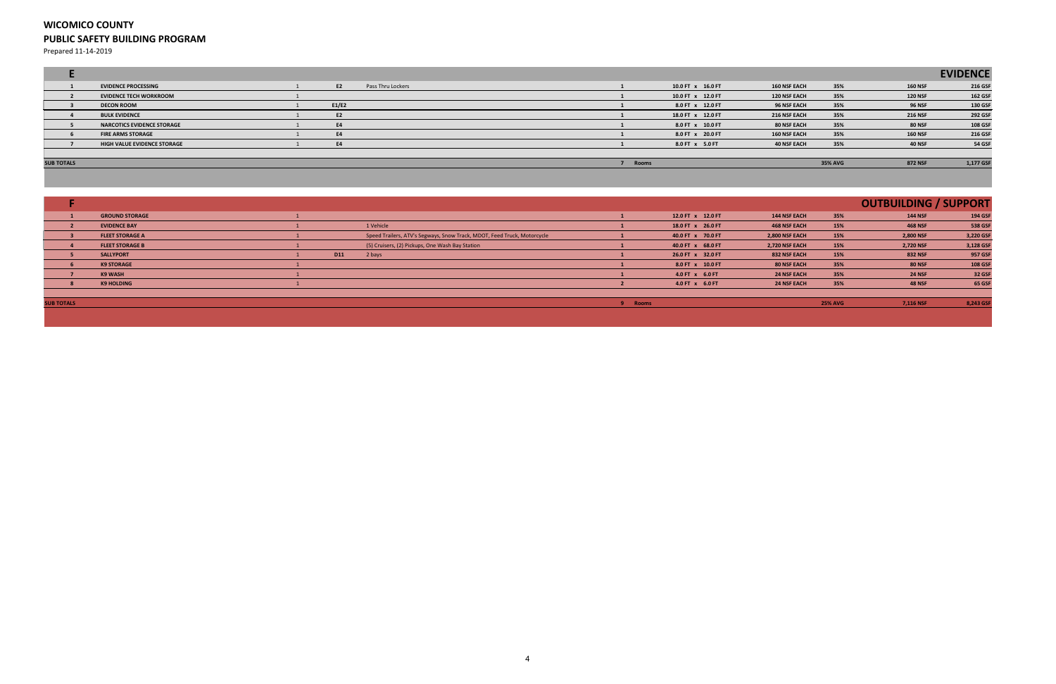### **WICOMICO COUNTY PUBLIC SAFETY BUILDING PROGRAM**

Prepared 11-14-2019

|                   |                                   |           |                   |  |       |                   |                     |                |                | <b>EVIDENCE</b> |
|-------------------|-----------------------------------|-----------|-------------------|--|-------|-------------------|---------------------|----------------|----------------|-----------------|
|                   | <b>EVIDENCE PROCESSING</b>        | E2        | Pass Thru Lockers |  |       | 10.0 FT x 16.0 FT | <b>160 NSF EACH</b> | 35%            | <b>160 NSF</b> | 216 GSF         |
|                   | <b>EVIDENCE TECH WORKROOM</b>     |           |                   |  |       | 10.0 FT x 12.0 FT | <b>120 NSF EACH</b> | 35%            | <b>120 NSF</b> | <b>162 GSF</b>  |
|                   | <b>DECON ROOM</b>                 | E1/E2     |                   |  |       | 8.0 FT x 12.0 FT  | 96 NSF EACH         | 35%            | <b>96 NSF</b>  | 130 GSF         |
|                   | <b>BULK EVIDENCE</b>              | E2        |                   |  |       | 18.0 FT x 12.0 FT | 216 NSF EACH        | 35%            | <b>216 NSF</b> | 292 GSF         |
|                   | <b>NARCOTICS EVIDENCE STORAGE</b> | <b>E4</b> |                   |  |       | 8.0 FT x 10.0 FT  | 80 NSF EACH         | 35%            | <b>80 NSF</b>  | <b>108 GSF</b>  |
|                   | <b>FIRE ARMS STORAGE</b>          | E4        |                   |  |       | 8.0 FT x 20.0 FT  | <b>160 NSF EACH</b> | 35%            | <b>160 NSF</b> | 216 GSF         |
|                   | HIGH VALUE EVIDENCE STORAGE       | <b>E4</b> |                   |  |       | 8.0 FT x 5.0 FT   | <b>40 NSF EACH</b>  | 35%            | <b>40 NSF</b>  | <b>54 GSF</b>   |
|                   |                                   |           |                   |  |       |                   |                     |                |                |                 |
| <b>SUB TOTALS</b> |                                   |           |                   |  | Rooms |                   |                     | <b>35% AVG</b> | <b>872 NSF</b> | 1,177 GSF       |
|                   |                                   |           |                   |  |       |                   |                     |                |                |                 |

|                                                                                                                                                                                                                                                  |                        |            |                                                                         |                                      |                   |                       |                   | <b>OUTBUILDING / SUPPORT</b> |                |
|--------------------------------------------------------------------------------------------------------------------------------------------------------------------------------------------------------------------------------------------------|------------------------|------------|-------------------------------------------------------------------------|--------------------------------------|-------------------|-----------------------|-------------------|------------------------------|----------------|
|                                                                                                                                                                                                                                                  | <b>GROUND STORAGE</b>  |            |                                                                         |                                      | 12.0 FT x 12.0 FT | <b>144 NSF EACH</b>   | 35%               | <b>144 NSF</b>               | <b>194 GSF</b> |
|                                                                                                                                                                                                                                                  | <b>EVIDENCE BAY</b>    |            | 1 Vehicle                                                               |                                      | 18.0 FT x 26.0 FT | <b>468 NSF EACH</b>   | 15%               | <b>468 NSF</b>               | 538 GSF        |
|                                                                                                                                                                                                                                                  | <b>FLEET STORAGE A</b> |            | Speed Trailers, ATV's Segways, Snow Track, MDOT, Feed Truck, Motorcycle |                                      | 40.0 FT x 70.0 FT | 2,800 NSF EACH        | 15%               | 2,800 NSF                    | 3,220 GSF      |
|                                                                                                                                                                                                                                                  | <b>FLEET STORAGE B</b> |            | (5) Cruisers, (2) Pickups, One Wash Bay Station                         |                                      | 40.0 FT x 68.0 FT | <b>2,720 NSF EACH</b> | 15%               | 2,720 NSF                    | 3,128 GSF      |
|                                                                                                                                                                                                                                                  | <b>SALLYPORT</b>       | <b>D11</b> | 2 bays                                                                  |                                      | 26.0 FT x 32.0 FT | 832 NSF EACH          | 15%               | <b>832 NSF</b>               | 957 GSF        |
|                                                                                                                                                                                                                                                  | <b>K9 STORAGE</b>      |            |                                                                         |                                      | 8.0 FT x 10.0 FT  | <b>80 NSF EACH</b>    | 35%               | <b>80 NSF</b>                | <b>108 GSF</b> |
|                                                                                                                                                                                                                                                  | K9 WASH                |            |                                                                         |                                      | 4.0 FT x 6.0 FT   | <b>24 NSF EACH</b>    | 35%               | <b>24 NSF</b>                | <b>32 GSF</b>  |
|                                                                                                                                                                                                                                                  | <b>K9 HOLDING</b>      |            |                                                                         |                                      | 4.0 FT x 6.0 FT   | <b>24 NSF EACH</b>    | 35%               | <b>48 NSF</b>                | <b>65 GSF</b>  |
|                                                                                                                                                                                                                                                  |                        |            |                                                                         |                                      |                   |                       |                   |                              |                |
| <b><i><u>ALLEY CALL AND ALLEY AND STREET AND RESIDENCE AND RESIDENCE AND RESIDENCE AND RESIDENCE AND RESIDENCE AND RESIDENCE AND RESIDENCE AND RESIDENCE AND RESIDENCE AND RESIDENCE AND RESIDENCE AND RESIDENCE AND RESIDENCE AND R</u></i></b> |                        |            |                                                                         | the company's state of the company's |                   |                       | <b>CONTRACTOR</b> |                              |                |

**SUB TOTALS 9 Rooms 25% AVG 7,116 NSF 8,243 GSF**